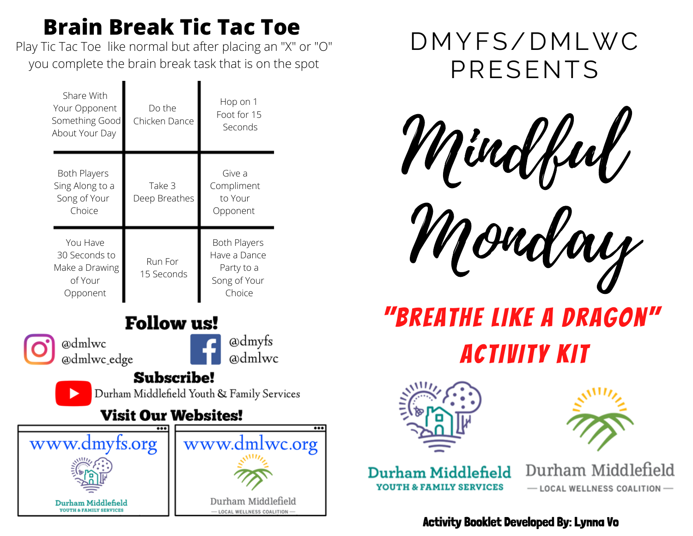## **Brain Break Tic Tac Toe**

Play Tic Tac Toe like normal but after placing an "X" or "O" you complete the brain break task that is on the spot

| Share With<br>Your Opponent<br>Something Good<br>About Your Day    | Do the<br>Chicken Dance | Hop on 1<br>Foot for 15<br>Seconds                                          |
|--------------------------------------------------------------------|-------------------------|-----------------------------------------------------------------------------|
| <b>Both Players</b><br>Sing Along to a<br>Song of Your<br>Choice   | Take 3<br>Deep Breathes | Give a<br>Compliment<br>to Your<br>Opponent                                 |
| You Have<br>30 Seconds to<br>Make a Drawing<br>of Your<br>Opponent | Run For<br>15 Seconds   | <b>Both Players</b><br>Have a Dance<br>Party to a<br>Song of Your<br>Choice |

## **Follow us!**

@dmlwc @dmlwc\_edge @dmyfs admlwc

## **Subscribe!**

Durham Middlefield Youth & Family Services

## **Visit Our Websites!**





Mindful

Monday

# "Breathe Like A Dragon" Activity Kit





Durham Middlefield **YOUTH & FAMILY SERVICES** 

Durham Middlefield - LOCAL WELLNESS COALITION-

Activity Booklet Developed By: Lynna Vo